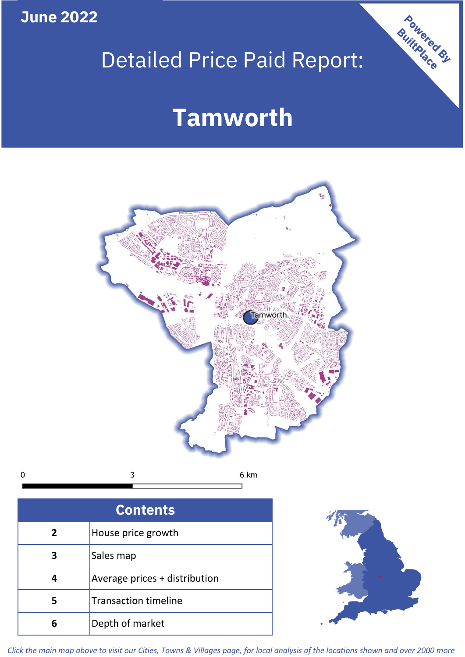**June 2022**

# Detailed Price Paid Report:

# **Tamworth**



| <b>Contents</b> |                               |  |  |
|-----------------|-------------------------------|--|--|
| $\overline{2}$  | House price growth            |  |  |
| 3               | Sales map                     |  |  |
|                 | Average prices + distribution |  |  |
| 5               | <b>Transaction timeline</b>   |  |  |
| Բ               | Depth of market               |  |  |



Powered By

*Click the main map above to visit our Cities, Towns & Villages page, for local analysis of the locations shown and over 2000 more*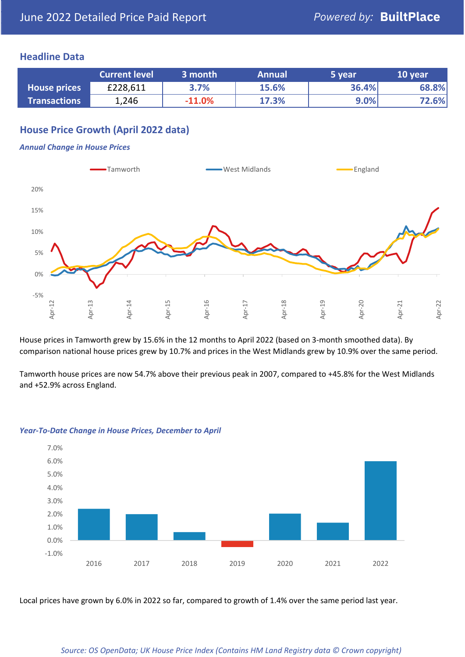### **Headline Data**

|                     | <b>Current level</b> | 3 month  | <b>Annual</b> | 5 year | 10 year |
|---------------------|----------------------|----------|---------------|--------|---------|
| House prices        | £228,611             | 3.7%     | 15.6%         | 36.4%  | 68.8%   |
| <b>Transactions</b> | 1,246                | $-11.0%$ | 17.3%         | 9.0%   | 72.6%   |

# **House Price Growth (April 2022 data)**

#### *Annual Change in House Prices*



House prices in Tamworth grew by 15.6% in the 12 months to April 2022 (based on 3-month smoothed data). By comparison national house prices grew by 10.7% and prices in the West Midlands grew by 10.9% over the same period.

Tamworth house prices are now 54.7% above their previous peak in 2007, compared to +45.8% for the West Midlands and +52.9% across England.



#### *Year-To-Date Change in House Prices, December to April*

Local prices have grown by 6.0% in 2022 so far, compared to growth of 1.4% over the same period last year.

#### *Source: OS OpenData; UK House Price Index (Contains HM Land Registry data © Crown copyright)*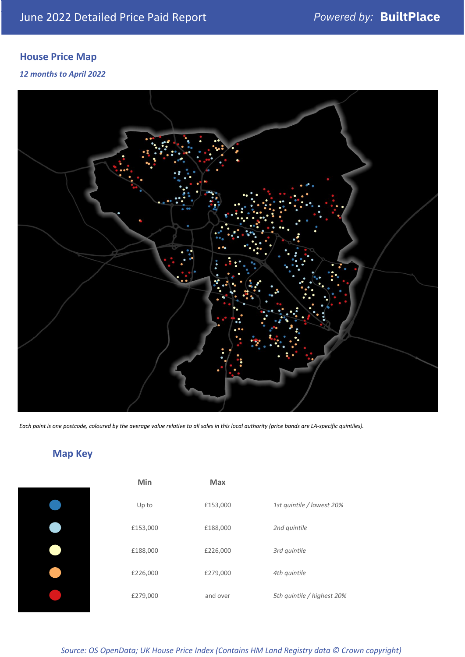# **House Price Map**

#### *12 months to April 2022*



*Each point is one postcode, coloured by the average value relative to all sales in this local authority (price bands are LA-specific quintiles).*

# **Map Key**

| Min      | Max      |                            |
|----------|----------|----------------------------|
| Up to    | £153,000 | 1st quintile / lowest 20%  |
| £153,000 | £188,000 | 2nd quintile               |
| £188,000 | £226,000 | 3rd quintile               |
| £226,000 | £279,000 | 4th quintile               |
| £279,000 | and over | 5th quintile / highest 20% |

## *Source: OS OpenData; UK House Price Index (Contains HM Land Registry data © Crown copyright)*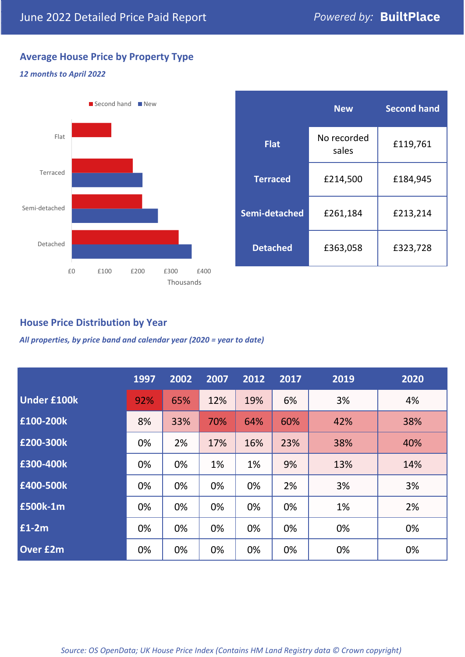# **Average House Price by Property Type**

# *12 months to April 2022*



|                 | <b>New</b>           | <b>Second hand</b> |  |
|-----------------|----------------------|--------------------|--|
| <b>Flat</b>     | No recorded<br>sales | £119,761           |  |
| <b>Terraced</b> | £214,500             | £184,945           |  |
| Semi-detached   | £261,184             | £213,214           |  |
| <b>Detached</b> | £363,058             | £323,728           |  |

# **House Price Distribution by Year**

*All properties, by price band and calendar year (2020 = year to date)*

|                    | 1997 | 2002 | 2007 | 2012 | 2017 | 2019 | 2020 |
|--------------------|------|------|------|------|------|------|------|
| <b>Under £100k</b> | 92%  | 65%  | 12%  | 19%  | 6%   | 3%   | 4%   |
| £100-200k          | 8%   | 33%  | 70%  | 64%  | 60%  | 42%  | 38%  |
| £200-300k          | 0%   | 2%   | 17%  | 16%  | 23%  | 38%  | 40%  |
| £300-400k          | 0%   | 0%   | 1%   | 1%   | 9%   | 13%  | 14%  |
| £400-500k          | 0%   | 0%   | 0%   | 0%   | 2%   | 3%   | 3%   |
| £500k-1m           | 0%   | 0%   | 0%   | 0%   | 0%   | 1%   | 2%   |
| £1-2m              | 0%   | 0%   | 0%   | 0%   | 0%   | 0%   | 0%   |
| <b>Over £2m</b>    | 0%   | 0%   | 0%   | 0%   | 0%   | 0%   | 0%   |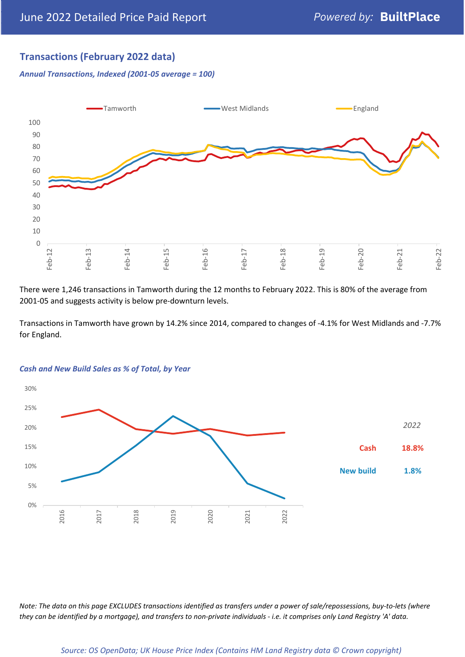# **Transactions (February 2022 data)**

*Annual Transactions, Indexed (2001-05 average = 100)*



There were 1,246 transactions in Tamworth during the 12 months to February 2022. This is 80% of the average from 2001-05 and suggests activity is below pre-downturn levels.

Transactions in Tamworth have grown by 14.2% since 2014, compared to changes of -4.1% for West Midlands and -7.7% for England.



#### *Cash and New Build Sales as % of Total, by Year*

*Note: The data on this page EXCLUDES transactions identified as transfers under a power of sale/repossessions, buy-to-lets (where they can be identified by a mortgage), and transfers to non-private individuals - i.e. it comprises only Land Registry 'A' data.*